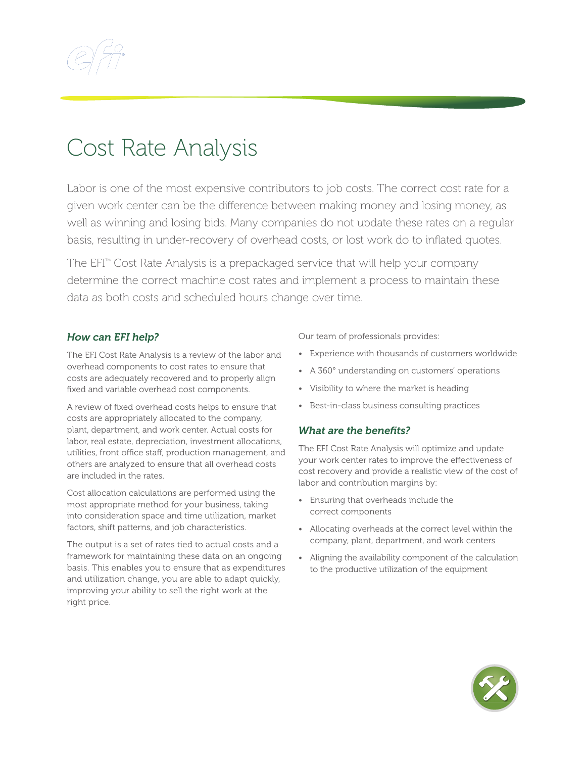

## Cost Rate Analysis

Labor is one of the most expensive contributors to job costs. The correct cost rate for a given work center can be the difference between making money and losing money, as well as winning and losing bids. Many companies do not update these rates on a regular basis, resulting in under-recovery of overhead costs, or lost work do to inflated quotes.

The EFI<sup>TM</sup> Cost Rate Analysis is a prepackaged service that will help your company determine the correct machine cost rates and implement a process to maintain these data as both costs and scheduled hours change over time.

## *How can EFI help?*

The EFI Cost Rate Analysis is a review of the labor and overhead components to cost rates to ensure that costs are adequately recovered and to properly align fixed and variable overhead cost components.

A review of fixed overhead costs helps to ensure that costs are appropriately allocated to the company, plant, department, and work center. Actual costs for labor, real estate, depreciation, investment allocations, utilities, front office staff, production management, and others are analyzed to ensure that all overhead costs are included in the rates.

Cost allocation calculations are performed using the most appropriate method for your business, taking into consideration space and time utilization, market factors, shift patterns, and job characteristics.

The output is a set of rates tied to actual costs and a framework for maintaining these data on an ongoing basis. This enables you to ensure that as expenditures and utilization change, you are able to adapt quickly, improving your ability to sell the right work at the right price.

Our team of professionals provides:

- Experience with thousands of customers worldwide
- A 360° understanding on customers' operations
- Visibility to where the market is heading
- Best-in-class business consulting practices

## *What are the benefits?*

The EFI Cost Rate Analysis will optimize and update your work center rates to improve the effectiveness of cost recovery and provide a realistic view of the cost of labor and contribution margins by:

- Ensuring that overheads include the correct components
- Allocating overheads at the correct level within the company, plant, department, and work centers
- Aligning the availability component of the calculation to the productive utilization of the equipment